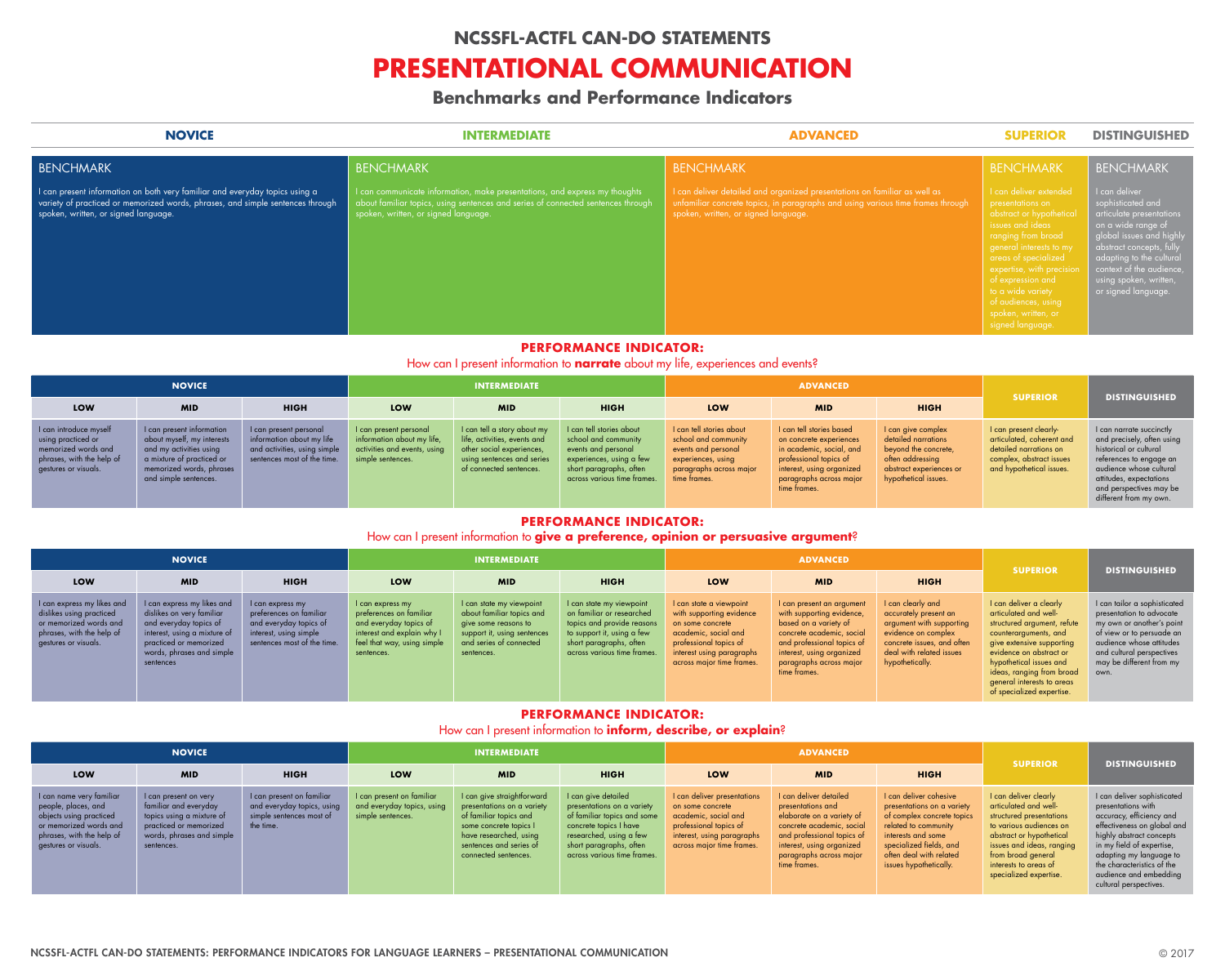

rganized presentations on familiar as well as  $\alpha$  paragraphs and using various time frames through nguage.

## **NOVICE INTERMEDIATE ADVANCED SUPERIOR DISTINGUISHED**

| <b>BENCHMARK</b>                                                                                                                                                                                      | <b>BENCHMARK</b>                                                                                                                                                                                     | <b>BENCHMARK</b>                                                                          |
|-------------------------------------------------------------------------------------------------------------------------------------------------------------------------------------------------------|------------------------------------------------------------------------------------------------------------------------------------------------------------------------------------------------------|-------------------------------------------------------------------------------------------|
| I can present information on both very familiar and everyday topics using a<br>variety of practiced or memorized words, phrases, and simple sentences through<br>spoken, written, or signed language. | can communicate information, make presentations, and express my thoughts<br>about familiar topics, using sentences and series of connected sentences through<br>spoken, written, or signed language. | I can deliver detailed and a<br>unfamiliar concrete topics,<br>spoken, written, or signed |
|                                                                                                                                                                                                       |                                                                                                                                                                                                      |                                                                                           |

## BENCHMARK

abstract or hypothetical signed language.

## **BENCHMARK**

I can deliver sophisticated and articulate presentations on a wide range of global issues and high abstract concepts, fully adapting to the cultural context of the audience, using spoken, written, or signed language.

## **PERFORMANCE INDICATOR:**

How can I present information to **narrate** about my life, experiences and events?

| <b>NOVICE</b>                                                                                                            |                                                                                                                                                                      |                                                                                                                    | <b>INTERMEDIATE</b>                                                                                       |                                                                                                                                                   |                                                                                                                                                               | <b>ADVANCED</b>                                                                                                                                 |                                                                                                                                                                                   |                                                                                                                                          |                                                                                                                                       |                                                                                                                                                                                                                        |
|--------------------------------------------------------------------------------------------------------------------------|----------------------------------------------------------------------------------------------------------------------------------------------------------------------|--------------------------------------------------------------------------------------------------------------------|-----------------------------------------------------------------------------------------------------------|---------------------------------------------------------------------------------------------------------------------------------------------------|---------------------------------------------------------------------------------------------------------------------------------------------------------------|-------------------------------------------------------------------------------------------------------------------------------------------------|-----------------------------------------------------------------------------------------------------------------------------------------------------------------------------------|------------------------------------------------------------------------------------------------------------------------------------------|---------------------------------------------------------------------------------------------------------------------------------------|------------------------------------------------------------------------------------------------------------------------------------------------------------------------------------------------------------------------|
| <b>LOW</b>                                                                                                               | <b>MID</b>                                                                                                                                                           | <b>HIGH</b>                                                                                                        | <b>LOW</b>                                                                                                | <b>MID</b>                                                                                                                                        | <b>HIGH</b>                                                                                                                                                   | LOW                                                                                                                                             | <b>MID</b>                                                                                                                                                                        | <b>HIGH</b>                                                                                                                              | <b>SUPERIOR</b>                                                                                                                       | <b>DISTINGUISHED</b>                                                                                                                                                                                                   |
| I can introduce myself<br>using practiced or<br>memorized words and<br>phrases, with the help of<br>gestures or visuals. | I can present information<br>about myself, my interests<br>and my activities using<br>a mixture of practiced or<br>memorized words, phrases<br>and simple sentences. | I can present personal<br>information about my life<br>and activities, using simple<br>sentences most of the time. | I can present personal<br>information about my life,<br>activities and events, using<br>simple sentences. | I can tell a story about my<br>life, activities, events and<br>other social experiences,<br>using sentences and series<br>of connected sentences. | I can tell stories about<br>school and community<br>events and personal<br>experiences, using a few<br>short paragraphs, often<br>across various time frames. | I can tell stories about<br>school and community<br>events and personal<br>experiences, using<br><b>paragraphs across major</b><br>time frames. | I can tell stories based<br>on concrete experiences<br>in academic, social, and<br>professional topics of<br>interest, using organized<br>paragraphs across major<br>time frames. | I can give complex<br>detailed narrations<br>beyond the concrete,<br>often addressing<br>abstract experiences or<br>hypothetical issues. | I can present clearly-<br>articulated, coherent and<br>detailed narrations on<br>complex, abstract issues<br>and hypothetical issues. | I can narrate succinctly<br>and precisely, often using<br>historical or cultural<br>references to engage an<br>audience whose cultural<br>attitudes, expectations<br>and perspectives may be<br>different from my own. |

# **PERFORMANCE INDICATOR:**

## How can I present information to **give a preference, opinion or persuasive argument**?

| <b>NOVICE</b>                                                                                                                         |                                                                                                                                                                                       |                                                                                                                                | <b>INTERMEDIATE</b>                                                                                                                              |                                                                                                                                                       |                                                                                                                                                                             | <b>ADVANCED</b>                                                                                                                                                                     |                                                                                                                                                                                                                    |                                                                                                                                                                            |                                                                                                                                                                                                                                                                                     |                                                                                                                                                                                                                 |
|---------------------------------------------------------------------------------------------------------------------------------------|---------------------------------------------------------------------------------------------------------------------------------------------------------------------------------------|--------------------------------------------------------------------------------------------------------------------------------|--------------------------------------------------------------------------------------------------------------------------------------------------|-------------------------------------------------------------------------------------------------------------------------------------------------------|-----------------------------------------------------------------------------------------------------------------------------------------------------------------------------|-------------------------------------------------------------------------------------------------------------------------------------------------------------------------------------|--------------------------------------------------------------------------------------------------------------------------------------------------------------------------------------------------------------------|----------------------------------------------------------------------------------------------------------------------------------------------------------------------------|-------------------------------------------------------------------------------------------------------------------------------------------------------------------------------------------------------------------------------------------------------------------------------------|-----------------------------------------------------------------------------------------------------------------------------------------------------------------------------------------------------------------|
| LOW                                                                                                                                   | <b>MID</b>                                                                                                                                                                            | <b>HIGH</b>                                                                                                                    | LOW                                                                                                                                              | <b>MID</b>                                                                                                                                            | <b>HIGH</b>                                                                                                                                                                 | LOW                                                                                                                                                                                 | <b>MID</b>                                                                                                                                                                                                         | <b>HIGH</b>                                                                                                                                                                | <b>SUPERIOR</b>                                                                                                                                                                                                                                                                     | <b>DISTINGUISHED</b>                                                                                                                                                                                            |
| I can express my likes and<br>dislikes using practiced<br>or memorized words and<br>phrases, with the help of<br>gestures or visuals. | I can express my likes and<br>dislikes on very familiar<br>and everyday topics of<br>interest, using a mixture of<br>practiced or memorized<br>words, phrases and simple<br>sentences | I can express my<br>preferences on familiar<br>and everyday topics of<br>interest, using simple<br>sentences most of the time. | I can express my<br>preferences on familiar<br>and everyday topics of<br>interest and explain why I<br>feel that way, using simple<br>sentences. | I can state my viewpoint<br>about familiar topics and<br>give some reasons to<br>support it, using sentences<br>and series of connected<br>sentences. | I can state my viewpoint<br>on familiar or researched<br>topics and provide reasons<br>to support it, using a few<br>short paragraphs, often<br>across various time frames. | I can state a viewpoint<br>with supporting evidence<br>on some concrete<br>academic, social and<br>professional topics of<br>interest using paragraphs<br>across major time frames. | I can present an argument<br>with supporting evidence,<br>based on a variety of<br>concrete academic, social<br>and professional topics of<br>interest, using organized<br>paragraphs across major<br>time frames. | I can clearly and<br>accurately present an<br>argument with supporting<br>evidence on complex<br>concrete issues, and often<br>deal with related issues<br>hypothetically. | I can deliver a clearly<br>articulated and well-<br>structured argument, refute<br>counterarguments, and<br>give extensive supporting<br>evidence on abstract or<br>hypothetical issues and<br>ideas, ranging from broad<br>general interests to areas<br>of specialized expertise. | I can tailor a sophisticated<br>presentation to advocate<br>my own or another's point<br>of view or to persuade an<br>audience whose attitudes<br>and cultural perspectives<br>may be different from my<br>own. |

# **PERFORMANCE INDICATOR:**

# How can I present information to **inform, describe, or explain**?

| <b>NOVICE</b>                                                                                                                                             |                                                                                                                                                  |                                                                                                  | <b>INTERMEDIATE</b>                                                          |                                                                                                                                                                                           |                                                                                                                                                                                                 | <b>ADVANCED</b>                                                                                                                                              |                                                                                                                                                                                                             |                                                                                                                                                                                                                  |                                                                                                                                                                                                                                         |                                                                                                                                                                                                                                                                                    |
|-----------------------------------------------------------------------------------------------------------------------------------------------------------|--------------------------------------------------------------------------------------------------------------------------------------------------|--------------------------------------------------------------------------------------------------|------------------------------------------------------------------------------|-------------------------------------------------------------------------------------------------------------------------------------------------------------------------------------------|-------------------------------------------------------------------------------------------------------------------------------------------------------------------------------------------------|--------------------------------------------------------------------------------------------------------------------------------------------------------------|-------------------------------------------------------------------------------------------------------------------------------------------------------------------------------------------------------------|------------------------------------------------------------------------------------------------------------------------------------------------------------------------------------------------------------------|-----------------------------------------------------------------------------------------------------------------------------------------------------------------------------------------------------------------------------------------|------------------------------------------------------------------------------------------------------------------------------------------------------------------------------------------------------------------------------------------------------------------------------------|
| LOW                                                                                                                                                       | <b>MID</b>                                                                                                                                       | <b>HIGH</b>                                                                                      | LOW                                                                          | <b>MID</b>                                                                                                                                                                                | <b>HIGH</b>                                                                                                                                                                                     | LOW                                                                                                                                                          | <b>MID</b>                                                                                                                                                                                                  | <b>HIGH</b>                                                                                                                                                                                                      | <b>SUPERIOR</b>                                                                                                                                                                                                                         | <b>DISTINGUISHED</b>                                                                                                                                                                                                                                                               |
| I can name very familiar<br>people, places, and<br>objects using practiced<br>or memorized words and<br>phrases, with the help of<br>gestures or visuals. | I can present on very<br>familiar and everyday<br>topics using a mixture of<br>practiced or memorized<br>words, phrases and simple<br>sentences. | I can present on familiar<br>and everyday topics, using<br>simple sentences most of<br>the time. | I can present on familiar<br>and everyday topics, using<br>simple sentences. | I can give straightforward<br>presentations on a variety<br>of familiar topics and<br>some concrete topics I<br>have researched, using<br>sentences and series of<br>connected sentences. | I can give detailed<br>presentations on a variety<br>of familiar topics and some<br>concrete topics I have<br>researched, using a few<br>short paragraphs, often<br>across various time frames. | I can deliver presentations<br>on some concrete<br>academic, social and<br>professional topics of<br>interest, using paragraphs<br>across major time frames. | I can deliver detailed<br>presentations and<br>elaborate on a variety of<br>concrete academic, social<br>and professional topics of<br>interest, using organized<br>paragraphs across major<br>time frames. | I can deliver cohesive<br>presentations on a variety<br>of complex concrete topics<br>related to community<br>interests and some<br>specialized fields, and<br>often deal with related<br>issues hypothetically. | I can deliver clearly<br>articulated and well-<br>structured presentations<br>to various audiences on<br>abstract or hypothetical<br>issues and ideas, ranging<br>from broad general<br>interests to areas of<br>specialized expertise. | I can deliver sophisticated<br>presentations with<br>accuracy, efficiency and<br>effectiveness on global and<br>highly abstract concepts<br>in my field of expertise,<br>adapting my language to<br>the characteristics of the<br>audience and embedding<br>cultural perspectives. |

# **NCSSFL-ACTFL CAN-DO STATEMENTS**

# **PRESENTATIONAL COMMUNICATION**

# **Benchmarks and Performance Indicators**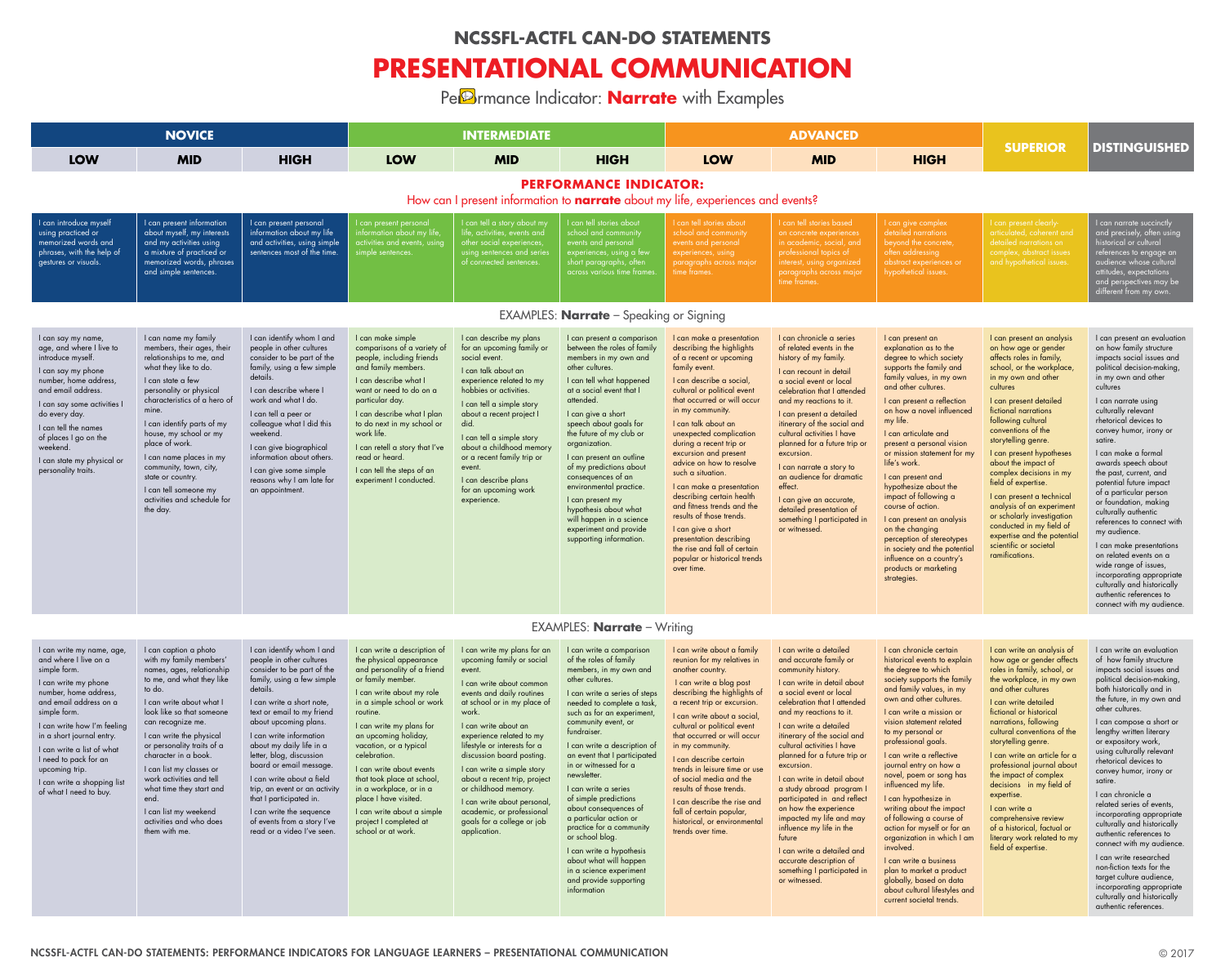NCSSFL-ACTFL CAN-DO STATEMENTS: PERFORMANCE INDICATORS FOR LANGUAGE LEARNERS – PRESENTATIONAL COMMUNICATION © 2017



# **SUPERIOR DISTINGUISHED**

I can give complex detailed narrations beyond the concrete, often addressing abstract experiences or hypothetical issues.

I can present clearlyarticulated, coherent and

I can narrate succinctly and precisely, often using historical or cultural references to engage an audience whose cultural attitudes, expectations and perspectives may be different from my own.

|                                                                                                                                                                                                                                                                                                                                                             | <b>NOVICE</b>                                                                                                                                                                                                                                                                                                                                                                                                            |                                                                                                                                                                                                                                                                                                                                                                                               |                                                                                                                                                                                                                                                                                                                                                                       | <b>INTERMEDIATE</b>                                                                                                                                                                                                                                                                                                                                                                 |                                                                                                                                                                                                                                                                                                                                                                                                                                                                                                               |                                                                                                                                                                                                                                                                                                                                                                                                                                                                                                                                                                                                                            | <b>ADVANCED</b>                                                                                                                                                                                                                                                                                                                                                                                                                                                                                                |                                                                                                                                                                                                                                                                                                                                                                                                                                                                                                                       |
|-------------------------------------------------------------------------------------------------------------------------------------------------------------------------------------------------------------------------------------------------------------------------------------------------------------------------------------------------------------|--------------------------------------------------------------------------------------------------------------------------------------------------------------------------------------------------------------------------------------------------------------------------------------------------------------------------------------------------------------------------------------------------------------------------|-----------------------------------------------------------------------------------------------------------------------------------------------------------------------------------------------------------------------------------------------------------------------------------------------------------------------------------------------------------------------------------------------|-----------------------------------------------------------------------------------------------------------------------------------------------------------------------------------------------------------------------------------------------------------------------------------------------------------------------------------------------------------------------|-------------------------------------------------------------------------------------------------------------------------------------------------------------------------------------------------------------------------------------------------------------------------------------------------------------------------------------------------------------------------------------|---------------------------------------------------------------------------------------------------------------------------------------------------------------------------------------------------------------------------------------------------------------------------------------------------------------------------------------------------------------------------------------------------------------------------------------------------------------------------------------------------------------|----------------------------------------------------------------------------------------------------------------------------------------------------------------------------------------------------------------------------------------------------------------------------------------------------------------------------------------------------------------------------------------------------------------------------------------------------------------------------------------------------------------------------------------------------------------------------------------------------------------------------|----------------------------------------------------------------------------------------------------------------------------------------------------------------------------------------------------------------------------------------------------------------------------------------------------------------------------------------------------------------------------------------------------------------------------------------------------------------------------------------------------------------|-----------------------------------------------------------------------------------------------------------------------------------------------------------------------------------------------------------------------------------------------------------------------------------------------------------------------------------------------------------------------------------------------------------------------------------------------------------------------------------------------------------------------|
| <b>LOW</b>                                                                                                                                                                                                                                                                                                                                                  | <b>MID</b>                                                                                                                                                                                                                                                                                                                                                                                                               | <b>HIGH</b>                                                                                                                                                                                                                                                                                                                                                                                   | <b>LOW</b>                                                                                                                                                                                                                                                                                                                                                            | <b>MID</b>                                                                                                                                                                                                                                                                                                                                                                          | <b>HIGH</b>                                                                                                                                                                                                                                                                                                                                                                                                                                                                                                   | <b>LOW</b>                                                                                                                                                                                                                                                                                                                                                                                                                                                                                                                                                                                                                 | <b>MID</b>                                                                                                                                                                                                                                                                                                                                                                                                                                                                                                     | <b>HIGH</b>                                                                                                                                                                                                                                                                                                                                                                                                                                                                                                           |
|                                                                                                                                                                                                                                                                                                                                                             |                                                                                                                                                                                                                                                                                                                                                                                                                          |                                                                                                                                                                                                                                                                                                                                                                                               |                                                                                                                                                                                                                                                                                                                                                                       | How can I present information to <b>narrate</b> about my life, experiences and events?                                                                                                                                                                                                                                                                                              | <b>PERFORMANCE INDICATOR:</b>                                                                                                                                                                                                                                                                                                                                                                                                                                                                                 |                                                                                                                                                                                                                                                                                                                                                                                                                                                                                                                                                                                                                            |                                                                                                                                                                                                                                                                                                                                                                                                                                                                                                                |                                                                                                                                                                                                                                                                                                                                                                                                                                                                                                                       |
| I can introduce myself<br>using practiced or<br>memorized words and<br>phrases, with the help of<br>gestures or visuals.                                                                                                                                                                                                                                    | I can present information<br>about myself, my interests<br>and my activities using<br>a mixture of practiced or<br>memorized words, phrases<br>and simple sentences.                                                                                                                                                                                                                                                     | I can present personal<br>information about my life<br>and activities, using simple<br>sentences most of the time.                                                                                                                                                                                                                                                                            | l can present personal<br>information about my life,<br>activities and events, using<br>simple sentences.                                                                                                                                                                                                                                                             | I can tell a story about my<br>life, activities, events and<br>other social experiences,<br>using sentences and series<br>of connected sentences.                                                                                                                                                                                                                                   | I can tell stories about<br>school and community<br>events and personal<br>experiences, using a few<br>short paragraphs, often<br>across various time frames.                                                                                                                                                                                                                                                                                                                                                 | I can tell stories about<br>school and community<br>events and personal<br>experiences, using<br>paragraphs across major<br>time frames.                                                                                                                                                                                                                                                                                                                                                                                                                                                                                   | I can tell stories based<br>on concrete experiences<br>in academic, social, and<br>professional topics of<br>interest, using organized<br>paragraphs across major<br>time frames.                                                                                                                                                                                                                                                                                                                              | I can give complex<br>detailed narrations<br>beyond the concre<br>often addressing<br>abstract experienc<br>hypothetical issues                                                                                                                                                                                                                                                                                                                                                                                       |
|                                                                                                                                                                                                                                                                                                                                                             |                                                                                                                                                                                                                                                                                                                                                                                                                          |                                                                                                                                                                                                                                                                                                                                                                                               |                                                                                                                                                                                                                                                                                                                                                                       |                                                                                                                                                                                                                                                                                                                                                                                     | EXAMPLES: <b>Narrate</b> $-$ Speaking or Signing                                                                                                                                                                                                                                                                                                                                                                                                                                                              |                                                                                                                                                                                                                                                                                                                                                                                                                                                                                                                                                                                                                            |                                                                                                                                                                                                                                                                                                                                                                                                                                                                                                                |                                                                                                                                                                                                                                                                                                                                                                                                                                                                                                                       |
| I can say my name,<br>age, and where I live to<br>introduce myself.<br>I can say my phone<br>number, home address,<br>and email address.<br>I can say some activities I<br>do every day.<br>I can tell the names<br>of places I go on the<br>weekend.<br>I can state my physical or<br>personality traits.                                                  | I can name my family<br>members, their ages, their<br>relationships to me, and<br>what they like to do.<br>I can state a few<br>personality or physical<br>characteristics of a hero of<br>mine.<br>I can identify parts of my<br>house, my school or my<br>place of work.<br>I can name places in my<br>community, town, city,<br>state or country.<br>I can tell someone my<br>activities and schedule for<br>the day. | I can identify whom I and<br>people in other cultures<br>consider to be part of the<br>family, using a few simple<br>details.<br>I can describe where I<br>work and what I do.<br>I can tell a peer or<br>colleague what I did this<br>weekend.<br>I can give biographical<br>information about others.<br>I can give some simple<br>reasons why I am late for<br>an appointment.             | I can make simple<br>comparisons of a variety of<br>people, including friends<br>and family members.<br>I can describe what I<br>want or need to do on a<br>particular day.<br>I can describe what I plan<br>to do next in my school or<br>work life.<br>I can retell a story that I've<br>read or heard.<br>I can tell the steps of an<br>experiment I conducted.    | I can describe my plans<br>for an upcoming family or<br>social event.<br>I can talk about an<br>experience related to my<br>hobbies or activities.<br>I can tell a simple story<br>about a recent project I<br>did.<br>I can tell a simple story<br>about a childhood memory<br>or a recent family trip or<br>event.<br>I can describe plans<br>for an upcoming work<br>experience. | I can present a comparison<br>between the roles of family<br>members in my own and<br>other cultures.<br>I can tell what happened<br>at a social event that I<br>attended.<br>I can give a short<br>speech about goals for<br>the future of my club or<br>organization.<br>I can present an outline<br>of my predictions about<br>consequences of an<br>environmental practice.<br>I can present my<br>hypothesis about what<br>will happen in a science<br>experiment and provide<br>supporting information. | I can make a presentation<br>describing the highlights<br>of a recent or upcoming<br>family event.<br>I can describe a social,<br>cultural or political event<br>that occurred or will occur<br>in my community.<br>I can talk about an<br>unexpected complication<br>during a recent trip or<br>excursion and present<br>advice on how to resolve<br>such a situation.<br>I can make a presentation<br>describing certain health<br>and fitness trends and the<br>results of those trends.<br>I can give a short<br>presentation describing<br>the rise and fall of certain<br>popular or historical trends<br>over time. | I can chronicle a series<br>of related events in the<br>history of my family.<br>I can recount in detail<br>a social event or local<br>celebration that I attended<br>and my reactions to it.<br>I can present a detailed<br>itinerary of the social and<br>cultural activities I have<br>planned for a future trip or<br>excursion.<br>I can narrate a story to<br>an audience for dramatic<br>effect.<br>I can give an accurate,<br>detailed presentation of<br>something I participated in<br>or witnessed. | I can present an<br>explanation as to t<br>degree to which so<br>supports the family<br>family values, in m<br>and other cultures.<br>I can present a ref<br>on how a novel in<br>my life.<br>I can articulate and<br>present a personal<br>or mission stateme<br>life's work.<br>I can present and<br>hypothesize about<br>impact of following<br>course of action.<br>I can present an a<br>on the changing<br>perception of stere<br>in society and the<br>influence on a cou<br>products or market<br>strategies. |
|                                                                                                                                                                                                                                                                                                                                                             |                                                                                                                                                                                                                                                                                                                                                                                                                          |                                                                                                                                                                                                                                                                                                                                                                                               |                                                                                                                                                                                                                                                                                                                                                                       |                                                                                                                                                                                                                                                                                                                                                                                     | <b>EXAMPLES: Narrate</b> – Writing                                                                                                                                                                                                                                                                                                                                                                                                                                                                            |                                                                                                                                                                                                                                                                                                                                                                                                                                                                                                                                                                                                                            |                                                                                                                                                                                                                                                                                                                                                                                                                                                                                                                |                                                                                                                                                                                                                                                                                                                                                                                                                                                                                                                       |
| I can write my name, age,<br>and where I live on a<br>simple form.<br>I can write my phone<br>number, home address,<br>and email address on a<br>simple form.<br>I can write how I'm feeling<br>in a short journal entry.<br>I can write a list of what<br>I need to pack for an<br>upcoming trip.<br>I can write a shopping list<br>of what I need to buy. | I can caption a photo<br>with my family members'<br>names, ages, relationship<br>to me, and what they like<br>to do.<br>I can write about what I<br>look like so that someone<br>can recognize me.<br>I can write the physical<br>or personality traits of a<br>character in a book.<br>I can list my classes or<br>work activities and tell<br>what time they start and                                                 | I can identify whom I and<br>people in other cultures<br>consider to be part of the<br>family, using a few simple<br>details.<br>I can write a short note,<br>text or email to my friend<br>about upcoming plans.<br>I can write information<br>about my daily life in a<br>letter, blog, discussion<br>board or email message.<br>I can write about a field<br>trip, an event or an activity | I can write a description of<br>the physical appearance<br>and personality of a friend<br>or family member.<br>I can write about my role<br>in a simple school or work<br>routine.<br>I can write my plans for<br>an upcoming holiday,<br>vacation, or a typical<br>celebration.<br>I can write about events<br>that took place at school,<br>in a workplace, or in a | I can write my plans for an<br>upcoming family or social<br>event.<br>I can write about common<br>events and daily routines<br>at school or in my place of<br>work.<br>I can write about an<br>experience related to my<br>lifestyle or interests for a<br>discussion board posting.<br>I can write a simple story<br>about a recent trip, project<br>or childhood memory.          | I can write a comparison<br>of the roles of family<br>members, in my own and<br>other cultures.<br>I can write a series of steps<br>needed to complete a task,<br>such as for an experiment,<br>community event, or<br>fundraiser.<br>I can write a description of<br>an event that I participated<br>in or witnessed for a<br>newsletter.<br>I can write a series                                                                                                                                            | I can write about a family<br>reunion for my relatives in<br>another country.<br>I can write a blog post<br>describing the highlights of<br>a recent trip or excursion.<br>I can write about a social,<br>cultural or political event<br>that occurred or will occur<br>in my community.<br>I can describe certain<br>trends in leisure time or use<br>of social media and the<br>results of those trends.                                                                                                                                                                                                                 | I can write a detailed<br>and accurate family or<br>community history.<br>I can write in detail about<br>a social event or local<br>celebration that I attended<br>and my reactions to it.<br>I can write a detailed<br>itinerary of the social and<br>cultural activities I have<br>planned for a future trip or<br>excursion.<br>I can write in detail about<br>a study abroad program I                                                                                                                     | I can chronicle cer<br>historical events to<br>the degree to whic<br>society supports th<br>and family values,<br>own and other cult<br>I can write a missi<br>vision statement re<br>to my personal or<br>professional goals<br>I can write a refled<br>journal entry on ho<br>novel, poem or sor<br>influenced my life.                                                                                                                                                                                             |

I can present an explanation as to the degree to which society supports the family and family values, in my own and other cultures.

I can present a reflection on how a novel influenced my life.

I can articulate and present a personal vision or mission statement for my life's work.

I can present and hypothesize about the impact of following a course of action.

I can present an analysis on the changing perception of stereotypes in society and the potential influence on a country's products or marketing strategies.

I can present an analysis on how age or gender affects roles in family, school, or the workplace, in my own and other cultures

I can present detailed fictional narrations following cultural conventions of the storytelling genre.

I can present hypotheses about the impact of complex decisions in my field of expertise.

I can present a technical analysis of an experiment or scholarly investigation conducted in my field of expertise and the potential scientific or societal ramifications.

I can present an evaluation on how family structure impacts social issues and political decision-making, in my own and other cultures

I can narrate using culturally relevant rhetorical devices to convey humor, irony or satire.

I can make a formal awards speech about the past, current, and potential future impact of a particular person or foundation, making culturally authentic references to connect with my audience.

I can make presentations on related events on a wide range of issues, incorporating appropriate culturally and historically authentic references to connect with my audience.

end.

I can list my weekend activities and who does them with me.

that I participated in. I can write the sequence

of events from a story I've read or a video I've seen.

place I have visited.

I can write about a simple project I completed at school or at work.

I can write about personal,

academic, or professional goals for a college or job application.

of simple predictions about consequences of a particular action or practice for a community

or school blog.

I can write a hypothesis about what will happen in a science experiment and provide supporting information

I can describe the rise and fall of certain popular, historical, or environmental trends over time.

I can write in detail about a study abroad program I participated in and reflect on how the experience impacted my life and may influence my life in the future

I can write a detailed and accurate description of something I participated in or witnessed.

I can chronicle certain historical events to explain the degree to which society supports the family and family values, in my own and other cultures.

I can write a mission or vision statement related to my personal or professional goals.

I can write a reflective journal entry on how a novel, poem or song has influenced my life.

I can hypothesize in writing about the impact of following a course of action for myself or for an organization in which I am involved.

I can write a business plan to market a product globally, based on data about cultural lifestyles and current societal trends.

I can write an analysis of how age or gender affects roles in family, school, or the workplace, in my own and other cultures

I can write detailed fictional or historical narrations, following cultural conventions of the storytelling genre.

I can write an article for a professional journal about the impact of complex decisions in my field of expertise.

I can write a comprehensive review of a historical, factual or literary work related to my field of expertise.

I can write an evaluation of how family structure impacts social issues and political decision-making, both historically and in the future, in my own and other cultures.

I can compose a short or lengthy written literary or expository work, using culturally relevant rhetorical devices to convey humor, irony or satire.

I can chronicle a related series of events, incorporating appropriate culturally and historically authentic references to connect with my audience.

I can write researched non-fiction texts for the target culture audience, incorporating appropriate culturally and historically authentic references.

# **NCSSFL-ACTFL CAN-DO STATEMENTS**

# **PRESENTATIONAL COMMUNICATION**

Pe<sup>D</sup>rmance Indicator: **Narrate** with Examples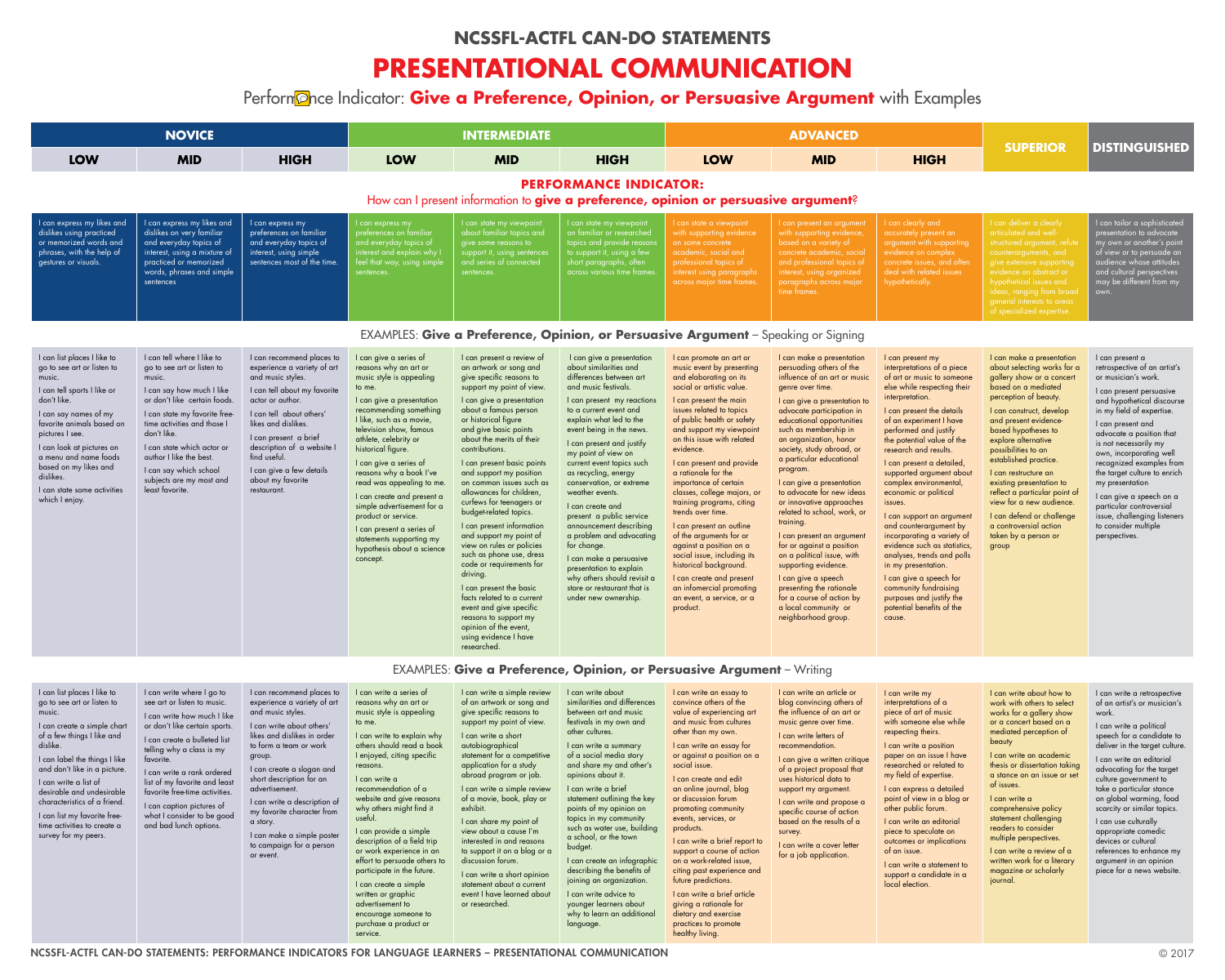|                                                                                                                                                                                                                                                                                                                                                                                            | <b>NOVICE</b>                                                                                                                                                                                                                                                                                                                                                                            |                                                                                                                                                                                                                                                                                                                                                                                                           |                                                                                                                                                                                                                                                                                                                                                                                                                                                                                                                                                                                           | <b>INTERMEDIATE</b>                                                                                                                                                                                                                                                                                                                                                                                                                                                                                                                                                                                                                                                                                                                                                              |                                                                                                                                                                                                                                                                                                                                                                                                                                                                                                                                                                                                                                                 |                                                                                                                                                                                                                                                                                                                                                                                                                                                                                                                                                                                                                                                                                  | <b>ADVANCED</b>                                                                                                                                                                                                                                                                                                                                                                                                                                                                                                                                                                                                                                                                                              |                                                                                                                                                                                                                                                                                                                                                                                                                                                                                                                                                                   |
|--------------------------------------------------------------------------------------------------------------------------------------------------------------------------------------------------------------------------------------------------------------------------------------------------------------------------------------------------------------------------------------------|------------------------------------------------------------------------------------------------------------------------------------------------------------------------------------------------------------------------------------------------------------------------------------------------------------------------------------------------------------------------------------------|-----------------------------------------------------------------------------------------------------------------------------------------------------------------------------------------------------------------------------------------------------------------------------------------------------------------------------------------------------------------------------------------------------------|-------------------------------------------------------------------------------------------------------------------------------------------------------------------------------------------------------------------------------------------------------------------------------------------------------------------------------------------------------------------------------------------------------------------------------------------------------------------------------------------------------------------------------------------------------------------------------------------|----------------------------------------------------------------------------------------------------------------------------------------------------------------------------------------------------------------------------------------------------------------------------------------------------------------------------------------------------------------------------------------------------------------------------------------------------------------------------------------------------------------------------------------------------------------------------------------------------------------------------------------------------------------------------------------------------------------------------------------------------------------------------------|-------------------------------------------------------------------------------------------------------------------------------------------------------------------------------------------------------------------------------------------------------------------------------------------------------------------------------------------------------------------------------------------------------------------------------------------------------------------------------------------------------------------------------------------------------------------------------------------------------------------------------------------------|----------------------------------------------------------------------------------------------------------------------------------------------------------------------------------------------------------------------------------------------------------------------------------------------------------------------------------------------------------------------------------------------------------------------------------------------------------------------------------------------------------------------------------------------------------------------------------------------------------------------------------------------------------------------------------|--------------------------------------------------------------------------------------------------------------------------------------------------------------------------------------------------------------------------------------------------------------------------------------------------------------------------------------------------------------------------------------------------------------------------------------------------------------------------------------------------------------------------------------------------------------------------------------------------------------------------------------------------------------------------------------------------------------|-------------------------------------------------------------------------------------------------------------------------------------------------------------------------------------------------------------------------------------------------------------------------------------------------------------------------------------------------------------------------------------------------------------------------------------------------------------------------------------------------------------------------------------------------------------------|
| <b>LOW</b>                                                                                                                                                                                                                                                                                                                                                                                 | <b>MID</b>                                                                                                                                                                                                                                                                                                                                                                               | <b>HIGH</b>                                                                                                                                                                                                                                                                                                                                                                                               | <b>LOW</b>                                                                                                                                                                                                                                                                                                                                                                                                                                                                                                                                                                                | <b>MID</b>                                                                                                                                                                                                                                                                                                                                                                                                                                                                                                                                                                                                                                                                                                                                                                       | <b>HIGH</b>                                                                                                                                                                                                                                                                                                                                                                                                                                                                                                                                                                                                                                     | <b>LOW</b>                                                                                                                                                                                                                                                                                                                                                                                                                                                                                                                                                                                                                                                                       | <b>MID</b>                                                                                                                                                                                                                                                                                                                                                                                                                                                                                                                                                                                                                                                                                                   | <b>HIGH</b>                                                                                                                                                                                                                                                                                                                                                                                                                                                                                                                                                       |
|                                                                                                                                                                                                                                                                                                                                                                                            |                                                                                                                                                                                                                                                                                                                                                                                          |                                                                                                                                                                                                                                                                                                                                                                                                           |                                                                                                                                                                                                                                                                                                                                                                                                                                                                                                                                                                                           | How can I present information to give a preference, opinion or persuasive argument?                                                                                                                                                                                                                                                                                                                                                                                                                                                                                                                                                                                                                                                                                              | <b>PERFORMANCE INDICATOR:</b>                                                                                                                                                                                                                                                                                                                                                                                                                                                                                                                                                                                                                   |                                                                                                                                                                                                                                                                                                                                                                                                                                                                                                                                                                                                                                                                                  |                                                                                                                                                                                                                                                                                                                                                                                                                                                                                                                                                                                                                                                                                                              |                                                                                                                                                                                                                                                                                                                                                                                                                                                                                                                                                                   |
| I can express my likes and<br>dislikes using practiced<br>or memorized words and<br>phrases, with the help of<br>gestures or visuals.                                                                                                                                                                                                                                                      | I can express my likes and<br>dislikes on very familiar<br>and everyday topics of<br>interest, using a mixture of<br>practiced or memorized<br>words, phrases and simple<br>sentences                                                                                                                                                                                                    | I can express my<br>preferences on familiar<br>and everyday topics of<br>interest, using simple<br>sentences most of the time.                                                                                                                                                                                                                                                                            | I can express my<br>preferences on familiar<br>and everyday topics of<br>interest and explain why I<br>feel that way, using simple<br>sentences.                                                                                                                                                                                                                                                                                                                                                                                                                                          | I can state my viewpoint<br>about familiar topics and<br>give some reasons to<br>support it, using sentences<br>and series of connected<br>sentences.                                                                                                                                                                                                                                                                                                                                                                                                                                                                                                                                                                                                                            | I can state my viewpoint<br>on familiar or researched<br>topics and provide reasons<br>to support it, using a few<br>short paragraphs, often<br>across various time frames.                                                                                                                                                                                                                                                                                                                                                                                                                                                                     | I can state a viewpoint<br>with supporting evidence<br>on some concrete<br>academic, social and<br>professional topics of<br>interest using paragraphs<br>across major time frames.                                                                                                                                                                                                                                                                                                                                                                                                                                                                                              | I can present an argument<br>with supporting evidence,<br>based on a variety of<br>concrete academic, social<br>and professional topics of<br>interest, using organized<br>paragraphs across major<br>time frames.                                                                                                                                                                                                                                                                                                                                                                                                                                                                                           | I can clearly and<br>accurately present<br>argument with sup<br>evidence on comp<br>concrete issues, ar<br>deal with related i<br>hypothetically.                                                                                                                                                                                                                                                                                                                                                                                                                 |
|                                                                                                                                                                                                                                                                                                                                                                                            |                                                                                                                                                                                                                                                                                                                                                                                          |                                                                                                                                                                                                                                                                                                                                                                                                           |                                                                                                                                                                                                                                                                                                                                                                                                                                                                                                                                                                                           | EXAMPLES: Give a Preference, Opinion, or Persuasive Argument - Speaking or Signing                                                                                                                                                                                                                                                                                                                                                                                                                                                                                                                                                                                                                                                                                               |                                                                                                                                                                                                                                                                                                                                                                                                                                                                                                                                                                                                                                                 |                                                                                                                                                                                                                                                                                                                                                                                                                                                                                                                                                                                                                                                                                  |                                                                                                                                                                                                                                                                                                                                                                                                                                                                                                                                                                                                                                                                                                              |                                                                                                                                                                                                                                                                                                                                                                                                                                                                                                                                                                   |
| I can list places I like to<br>go to see art or listen to<br>music.<br>I can tell sports I like or<br>don't like.<br>I can say names of my<br>favorite animals based on<br>pictures I see.<br>I can look at pictures on<br>a menu and name foods<br>based on my likes and<br>dislikes.<br>I can state some activities<br>which I enjoy.                                                    | I can tell where I like to<br>go to see art or listen to<br>music.<br>I can say how much I like<br>or don't like certain foods.<br>I can state my favorite free-<br>time activities and those I<br>don't like.<br>I can state which actor or<br>author I like the best.<br>I can say which school<br>subjects are my most and<br>least favorite.                                         | I can recommend places to<br>experience a variety of art<br>and music styles.<br>I can tell about my favorite<br>actor or author.<br>I can tell about others'<br>likes and dislikes.<br>I can present a brief<br>description of a website I<br>find useful.<br>I can give a few details<br>about my favorite<br>restaurant.                                                                               | I can give a series of<br>reasons why an art or<br>music style is appealing<br>to me.<br>I can give a presentation<br>recommending something<br>I like, such as a movie,<br>television show, famous<br>athlete, celebrity or<br>historical figure.<br>I can give a series of<br>reasons why a book I've<br>read was appealing to me.<br>I can create and present a<br>simple advertisement for a<br>product or service.<br>I can present a series of<br>statements supporting my<br>hypothesis about a science<br>concept.                                                                | I can present a review of<br>an artwork or song and<br>give specific reasons to<br>support my point of view.<br>I can give a presentation<br>about a famous person<br>or historical figure<br>and give basic points<br>about the merits of their<br>contributions.<br>I can present basic points<br>and support my position<br>on common issues such as<br>allowances for children,<br>curfews for teenagers or<br>budget-related topics.<br>I can present information<br>and support my point of<br>view on rules or policies<br>such as phone use, dress<br>code or requirements for<br>driving.<br>I can present the basic<br>facts related to a current<br>event and give specific<br>reasons to support my<br>opinion of the event,<br>using evidence I have<br>researched. | I can give a presentation<br>about similarities and<br>differences between art<br>and music festivals.<br>I can present my reactions<br>to a current event and<br>explain what led to the<br>event being in the news.<br>I can present and justify<br>my point of view on<br>current event topics such<br>as recycling, energy<br>conservation, or extreme<br>weather events.<br>I can create and<br>present a public service<br>announcement describing<br>a problem and advocating<br>for change.<br>I can make a persuasive<br>presentation to explain<br>why others should revisit a<br>store or restaurant that is<br>under new ownership. | I can promote an art or<br>music event by presenting<br>and elaborating on its<br>social or artistic value.<br>I can present the main<br>issues related to topics<br>of public health or safety<br>and support my viewpoint<br>on this issue with related<br>evidence.<br>I can present and provide<br>a rationale for the<br>importance of certain<br>classes, college majors, or<br>training programs, citing<br>trends over time.<br>I can present an outline<br>of the arguments for or<br>against a position on a<br>social issue, including its<br>historical background.<br>I can create and present<br>an infomercial promoting<br>an event, a service, or a<br>product. | I can make a presentation<br>persuading others of the<br>influence of an art or music<br>genre over time.<br>I can give a presentation to<br>advocate participation in<br>educational opportunities<br>such as membership in<br>an organization, honor<br>society, study abroad, or<br>a particular educational<br>program.<br>I can give a presentation<br>to advocate for new ideas<br>or innovative approaches<br>related to school, work, or<br>training.<br>I can present an argument<br>for or against a position<br>on a political issue, with<br>supporting evidence.<br>I can give a speech<br>presenting the rationale<br>for a course of action by<br>a local community or<br>neighborhood group. | I can present my<br>interpretations of c<br>of art or music to s<br>else while respecti<br>interpretation.<br>I can present the d<br>of an experiment I<br>performed and jus<br>the potential value<br>research and resul<br>I can present a det<br>supported argume<br>complex environm<br>economic or politic<br>issues.<br>I can support an a<br>and counterargum<br>incorporating a va<br>evidence such as s<br>analyses, trends ar<br>in my presentation<br>I can give a speec<br>community fundrai<br>purposes and justil<br>potential benefits o<br>cause. |
|                                                                                                                                                                                                                                                                                                                                                                                            |                                                                                                                                                                                                                                                                                                                                                                                          |                                                                                                                                                                                                                                                                                                                                                                                                           |                                                                                                                                                                                                                                                                                                                                                                                                                                                                                                                                                                                           | EXAMPLES: Give a Preference, Opinion, or Persuasive Argument - Writing                                                                                                                                                                                                                                                                                                                                                                                                                                                                                                                                                                                                                                                                                                           |                                                                                                                                                                                                                                                                                                                                                                                                                                                                                                                                                                                                                                                 |                                                                                                                                                                                                                                                                                                                                                                                                                                                                                                                                                                                                                                                                                  |                                                                                                                                                                                                                                                                                                                                                                                                                                                                                                                                                                                                                                                                                                              |                                                                                                                                                                                                                                                                                                                                                                                                                                                                                                                                                                   |
| I can list places I like to<br>go to see art or listen to<br>music.<br>I can create a simple chart<br>of a few things I like and<br>dislike.<br>I can label the things I like<br>and don't like in a picture.<br>I can write a list of<br>desirable and undesirable<br>characteristics of a friend.<br>I can list my favorite free-<br>time activities to create a<br>survey for my peers. | I can write where I go to<br>see art or listen to music.<br>I can write how much I like<br>or don't like certain sports.<br>I can create a bulleted list<br>telling why a class is my<br>favorite.<br>I can write a rank ordered<br>list of my favorite and least<br>favorite free-time activities.<br>I can caption pictures of<br>what I consider to be good<br>and bad lunch options. | I can recommend places to<br>experience a variety of art<br>and music styles.<br>I can write about others'<br>likes and dislikes in order<br>to form a team or work<br>group.<br>I can create a slogan and<br>short description for an<br>advertisement.<br>I can write a description of<br>my favorite character from<br>a story.<br>I can make a simple poster<br>to campaign for a person<br>or event. | I can write a series of<br>reasons why an art or<br>music style is appealing<br>to me.<br>I can write to explain why<br>others should read a book<br>I enjoyed, citing specific<br>reasons.<br>I can write a<br>recommendation of a<br>website and give reasons<br>why others might find it<br>useful.<br>I can provide a simple<br>description of a field trip<br>or work experience in an<br>effort to persuade others to<br>participate in the future.<br>I can create a simple<br>written or graphic<br>advertisement to<br>encourage someone to<br>purchase a product or<br>service. | I can write a simple review<br>of an artwork or song and<br>give specific reasons to<br>support my point of view.<br>I can write a short<br>autobiographical<br>statement for a competitive<br>application for a study<br>abroad program or job.<br>I can write a simple review<br>of a movie, book, play or<br>exhibit.<br>I can share my point of<br>view about a cause I'm<br>interested in and reasons<br>to support it on a blog or a<br>discussion forum.<br>I can write a short opinion<br>statement about a current<br>event I have learned about<br>or researched.                                                                                                                                                                                                      | I can write about<br>similarities and differences<br>between art and music<br>festivals in my own and<br>other cultures.<br>I can write a summary<br>of a social media story<br>and share my and other's<br>opinions about it.<br>I can write a brief<br>statement outlining the key<br>points of my opinion on<br>topics in my community<br>such as water use, building<br>a school, or the town<br>budget.<br>I can create an infographic<br>describing the benefits of<br>joining an organization.<br>I can write advice to<br>younger learners about<br>why to learn an additional<br>language.                                             | I can write an essay to<br>convince others of the<br>value of experiencing art<br>and music from cultures<br>other than my own.<br>I can write an essay for<br>or against a position on a<br>social issue.<br>I can create and edit<br>an online journal, blog<br>or discussion forum<br>promoting community<br>events, services, or<br>products.<br>I can write a brief report to<br>support a course of action<br>on a work-related issue,<br>citing past experience and<br>future predictions.<br>I can write a brief article<br>giving a rationale for<br>dietary and exercise<br>practices to promote<br>healthy living.                                                    | I can write an article or<br>blog convincing others of<br>the influence of an art or<br>music genre over time.<br>I can write letters of<br>recommendation.<br>I can give a written critique<br>of a project proposal that<br>uses historical data to<br>support my argument.<br>I can write and propose a<br>specific course of action<br>based on the results of a<br>survey.<br>I can write a cover letter<br>for a job application.                                                                                                                                                                                                                                                                      | I can write my<br>interpretations of c<br>piece of art of mus<br>with someone else<br>respecting theirs.<br>I can write a positi<br>paper on an issue<br>researched or rela<br>my field of expertis<br>I can express a de<br>point of view in a<br>other public forum<br>I can write an edit<br>piece to speculate<br>outcomes or implic<br>of an issue.<br>I can write a stater<br>support a candida<br>local election.                                                                                                                                          |

culture government to take a particular stance on global warming, food scarcity or similar topics.

| <b>ADVANCED</b>                                                                                                                                                                                                                                                                                                                                                                                                                                                                                                                                                                                                                                                                                              |                                                                                                                                                                                                                                                                                                                                                                                                                                                                                                                                                                                                                                                                                                |                                                                                                                                                                                                                                                                                                                                                                                                                                                                                                   |                                                                                                                                                                                                                                                                                                                                                                                                                                                                                    |  |  |
|--------------------------------------------------------------------------------------------------------------------------------------------------------------------------------------------------------------------------------------------------------------------------------------------------------------------------------------------------------------------------------------------------------------------------------------------------------------------------------------------------------------------------------------------------------------------------------------------------------------------------------------------------------------------------------------------------------------|------------------------------------------------------------------------------------------------------------------------------------------------------------------------------------------------------------------------------------------------------------------------------------------------------------------------------------------------------------------------------------------------------------------------------------------------------------------------------------------------------------------------------------------------------------------------------------------------------------------------------------------------------------------------------------------------|---------------------------------------------------------------------------------------------------------------------------------------------------------------------------------------------------------------------------------------------------------------------------------------------------------------------------------------------------------------------------------------------------------------------------------------------------------------------------------------------------|------------------------------------------------------------------------------------------------------------------------------------------------------------------------------------------------------------------------------------------------------------------------------------------------------------------------------------------------------------------------------------------------------------------------------------------------------------------------------------|--|--|
| <b>MID</b>                                                                                                                                                                                                                                                                                                                                                                                                                                                                                                                                                                                                                                                                                                   | <b>HIGH</b>                                                                                                                                                                                                                                                                                                                                                                                                                                                                                                                                                                                                                                                                                    | <b>SUPERIOR</b>                                                                                                                                                                                                                                                                                                                                                                                                                                                                                   | <b>DISTINGUISHED</b>                                                                                                                                                                                                                                                                                                                                                                                                                                                               |  |  |
| i <b>sive argument</b> ?                                                                                                                                                                                                                                                                                                                                                                                                                                                                                                                                                                                                                                                                                     |                                                                                                                                                                                                                                                                                                                                                                                                                                                                                                                                                                                                                                                                                                |                                                                                                                                                                                                                                                                                                                                                                                                                                                                                                   |                                                                                                                                                                                                                                                                                                                                                                                                                                                                                    |  |  |
| I can present an argument<br>with supporting evidence,<br>based on a variety of<br>concrete academic, social<br>and professional topics of<br>interest, using organized<br>paragraphs across major<br>time frames.                                                                                                                                                                                                                                                                                                                                                                                                                                                                                           | I can clearly and<br>accurately present an<br>argument with supporting<br>evidence on complex<br>concrete issues, and often<br>deal with related issues<br>hypothetically.                                                                                                                                                                                                                                                                                                                                                                                                                                                                                                                     | I can deliver a clearly<br>articulated and well-<br>structured argument, refute<br>counterarguments, and<br>give extensive supporting<br>evidence on abstract or<br>hypothetical issues and<br>ideas, ranging from broad<br>general interests to areas<br>of specialized expertise.                                                                                                                                                                                                               | I can tailor a sophisticated<br>presentation to advocate<br>my own or another's point<br>of view or to persuade an<br>audience whose attitudes<br>and cultural perspectives<br>may be different from my<br>own.                                                                                                                                                                                                                                                                    |  |  |
| Speaking or Signing                                                                                                                                                                                                                                                                                                                                                                                                                                                                                                                                                                                                                                                                                          |                                                                                                                                                                                                                                                                                                                                                                                                                                                                                                                                                                                                                                                                                                |                                                                                                                                                                                                                                                                                                                                                                                                                                                                                                   |                                                                                                                                                                                                                                                                                                                                                                                                                                                                                    |  |  |
| I can make a presentation<br>persuading others of the<br>influence of an art or music<br>genre over time.<br>I can give a presentation to<br>advocate participation in<br>educational opportunities<br>such as membership in<br>an organization, honor<br>society, study abroad, or<br>a particular educational<br>program.<br>I can give a presentation<br>to advocate for new ideas<br>or innovative approaches<br>related to school, work, or<br>training.<br>I can present an argument<br>for or against a position<br>on a political issue, with<br>supporting evidence.<br>I can give a speech<br>presenting the rationale<br>for a course of action by<br>a local community or<br>neighborhood group. | I can present my<br>interpretations of a piece<br>of art or music to someone<br>else while respecting their<br>interpretation.<br>I can present the details<br>of an experiment I have<br>performed and justify<br>the potential value of the<br>research and results.<br>I can present a detailed,<br>supported argument about<br>complex environmental,<br>economic or political<br>issues.<br>I can support an argument<br>and counterargument by<br>incorporating a variety of<br>evidence such as statistics,<br>analyses, trends and polls<br>in my presentation.<br>I can give a speech for<br>community fundraising<br>purposes and justify the<br>potential benefits of the<br>cause. | I can make a presentation<br>about selecting works for a<br>gallery show or a concert<br>based on a mediated<br>perception of beauty.<br>I can construct, develop<br>and present evidence-<br>based hypotheses to<br>explore alternative<br>possibilities to an<br>established practice.<br>I can restructure an<br>existing presentation to<br>reflect a particular point of<br>view for a new audience.<br>I can defend or challenge<br>a controversial action<br>taken by a person or<br>group | I can present a<br>retrospective of an artist's<br>or musician's work.<br>I can present persuasive<br>and hypothetical discourse<br>in my field of expertise.<br>I can present and<br>advocate a position that<br>is not necessarily my<br>own, incorporating well<br>recognized examples from<br>the target culture to enrich<br>my presentation<br>I can give a speech on a<br>particular controversial<br>issue, challenging listeners<br>to consider multiple<br>perspectives. |  |  |
| <b>ent</b> – Writing                                                                                                                                                                                                                                                                                                                                                                                                                                                                                                                                                                                                                                                                                         |                                                                                                                                                                                                                                                                                                                                                                                                                                                                                                                                                                                                                                                                                                |                                                                                                                                                                                                                                                                                                                                                                                                                                                                                                   |                                                                                                                                                                                                                                                                                                                                                                                                                                                                                    |  |  |
| I can write an article or<br>blog convincing others of<br>the influence of an art or<br>music genre over time.<br>I can write letters of<br>recommendation.<br>I can give a written critique<br>of a project proposal that                                                                                                                                                                                                                                                                                                                                                                                                                                                                                   | I can write my<br>interpretations of a<br>piece of art of music<br>with someone else while<br>respecting theirs.<br>I can write a position<br>paper on an issue I have<br>researched or related to<br>my field of expertise                                                                                                                                                                                                                                                                                                                                                                                                                                                                    | I can write about how to<br>work with others to select<br>works for a gallery show<br>or a concert based on a<br>mediated perception of<br>beauty<br>I can write an academic<br>thesis or dissertation taking<br>a stance on an issue or set                                                                                                                                                                                                                                                      | I can write a retrospective<br>of an artist's or musician's<br>work.<br>I can write a political<br>speech for a candidate to<br>deliver in the target culture.<br>I can write an editorial<br>advocating for the target                                                                                                                                                                                                                                                            |  |  |

# **NCSSFL-ACTFL CAN-DO STATEMENTS PRESENTATIONAL COMMUNICATION** Perform**once Indicator: Give a Preference, Opinion, or Persuasive Argument** with Examples

my field of expertise.

I can express a detailed point of view in a blog or other public forum.

I can write an editorial piece to speculate on outcomes or implications of an issue.

I can write a statement to support a candidate in a local election.

a stance on an issue or set of issues.

I can write a comprehensive policy statement challenging readers to consider multiple perspectives.

I can write a review of a written work for a literary magazine or scholarly journal.

I can use culturally appropriate comedic devices or cultural references to enhance my argument in an opinion piece for a news website.